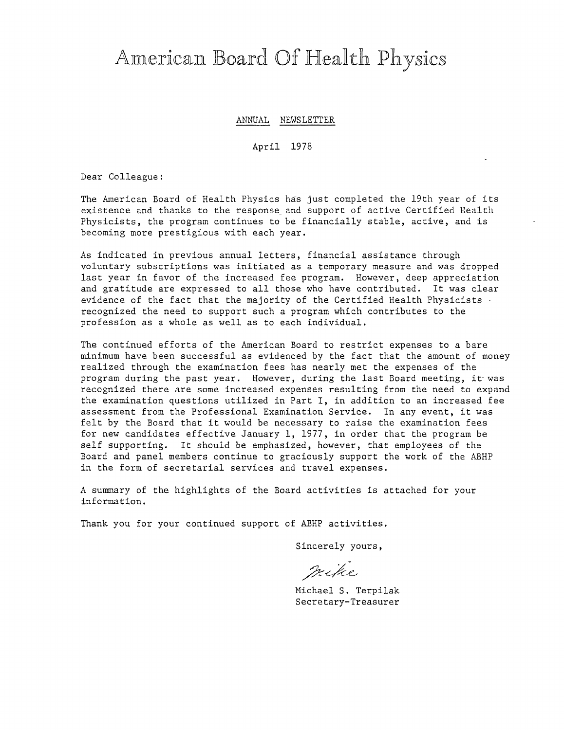# ANNUAL NEWSLETTER

April 1978

Dear Colleague:

The American Board of Health Physics has just completed the 19th year of its existence and thanks to the response and support of active Certified Health Physicists, the program continues to be financially stable, active, and is becoming more prestigious with each year.

As indicated in previous annual letters, financial assistance through voluntary subscriptions was initiated as a temporary measure and was dropped last year in favor of the increased fee program. However, deep appreciation and gratitude are expressed to all those who have contributed. It was clear evidence of the fact that the majority of the Certified Health Physicists recognized the need to support such a program which contributes to the profession as a whole as well as to each individual,

The continued efforts of the American Board to restrict expenses to a bare minimum have been successful as evidenced by the fact that the amount of money realized through the examination fees has nearly met the expenses of the program during the past year. However, during the last Board meeting, it was recognized there are some increased expenses resulting from the need to expand the examination questions utilized in Part I, in addition to an increased fee assessment from the Professional Examination Service. In any event, it was felt by the Board that it would be necessary to raise the examination fees for new candidates effective January 1, 1977, in order that the program be self supporting. It should be emphasized, however, that employees of the Board and panel members continue to graciously support the work of the ABHP in the form of secretarial services and travel expenses,

A summary of the highlights of the Board activities is attached for your information.

Thank you for your continued support of ABHP activities,

Sincerely yours,

 $\mathcal{P}$ cifie

Michael S. Terpilak Secretary-Treasurer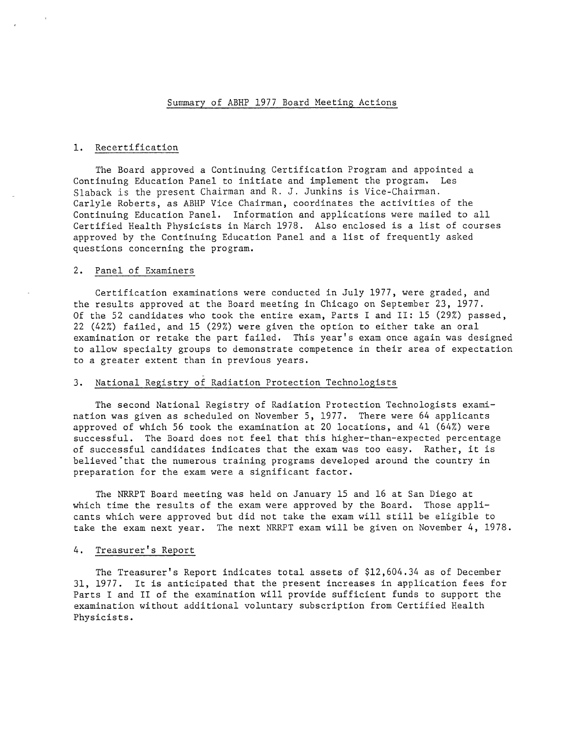# Summary of ABHP 1977 Board Meeting Actions

#### 1. Recertification

The Board approved a Continuing Certification Program and appointed a Continuing Education Panel to initiate and implement the program. Les Slaback is the present Chairman and R. J. Junkins is Vice-Chairman. Carlyle Roberts, as ABHP Vice Chairman, coordinates the activities of the Continuing Education Panel. Information and applications were mailed to all Certified Health Physicists in March 1978. Also enclosed is a list of courses approved by the Continuing Education Panel and a list of frequently asked questions concerning the program.

## 2. Panel of Examiners

Certification examinations were conducted in July 1977, were graded, and the results approved at the Board meeting in Chicago on September 23, 1977. Of the 52 candidates who took the entire exam, Parts I and II: 15 (29%) passed, 22 (42%) failed, and 15 (29%) were given the option to either take an oral examination or retake the part failed. This year's exam once again was designed to allow specialty groups to demonstrate competence in their area of expectation to a greater extent than in previous years.

#### 3. National Registry of Radiation Protection Technologists

The second National Registry of Radiation Protection Technologists examination was given as scheduled on November 5, 1977, There were 64 applicants approved of which 56 took the examination at 20 locations, and 41 (64%) were successful, The Board does not feel that this higher-than-expected percentage of successful candidates indicates that the exam was too easy, Rather, it is believed that the numerous training programs developed around the country in preparation for the exam were a significant factor.

The NRRPT Board meeting was held on January 15 and 16 at San Diego at which time the results of the exam were approved by the Board. Those applicants which were approved but did not take the exam will still be eligible to take the exam next year. The next NRRPT exam will be given on November 4, 1978.

# 4. Treasurer's Report

The Treasurer's Report indicates total assets of \$12,604.34 as of December 31, 1977. It is anticipated that the present increases in application fees for Parts I and II of the examination will provide sufficient funds to support the examination without additional voluntary subscription from Certified Health Physicists.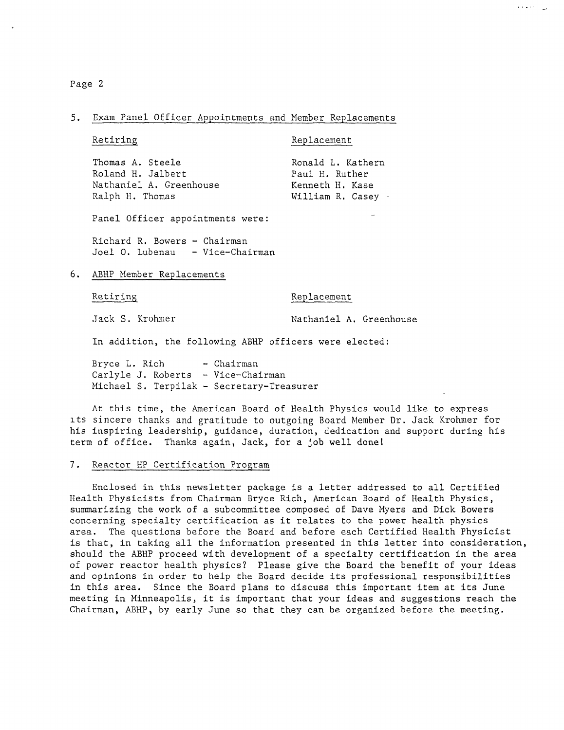Page 2

# 5. Exam Panel Officer Appointments and Member Replacements

Retiring

Replacement

Thomas A. Steele Roland H. Jalbert Nathaniel A. Greenhouse Ralph H. Thomas

Ronald L. Kathern Paul H. Ruther Kenneth H. Kase William R. Casey - أرزان الأملاء

Panel Officer appointments were:

Richard R. Bowers - Chairman Joel O. Lubenau - Vice-Chairman

#### 6. ABHP Member Replacements

Retiring

Replacement

Jack S. Krohmer

Nathaniel A. Greenhouse

In addition, the following ABHP officers were elected:

Bryce L. Rich - Chairman Carlyle J. Roberts - Vice-Chairman Michael S. Terpilak - Secretary-Treasurer

At this time, the American Board of Health Physics would like to express its sincere thanks and gratitude to outgoing Board Member Dr. Jack Krohmer for his inspiring leadership, guidance, duration, dedication and support during his term of office. Thanks again, Jack, for a job well done!

## 7. Reactor HP Certification Program

Enclosed in this newsletter package is a letter addressed to all Certified Health Physicists from Chairman Bryce Rich, American Board of Health Physics, summarizing the work of a subcommittee composed of Dave Myers and Dick Bowers concerning specialty certification as it relates to the power health physics area. The questions before the Board and before each Certified Health Physicist is that, in taking all the information presented in this letter into consideration, should the ABHP proceed with development of a specialty certification in the area of power reactor health physics? Please give the Board the benefit of your ideas and opinions in order to help the Board decide its professional responsibilities in this area. Since the Board plans to discuss this important item at its June meeting in Minneapolis, it is important that your ideas and suggestions reach the Chairman, ABHP, by early June so that they can be organized before the meeting.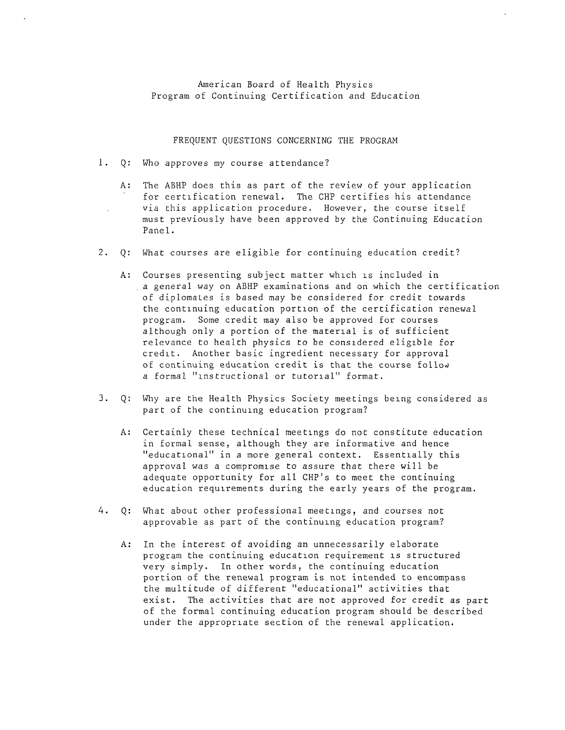American Board of Health Physics Program of Continuing Certification and Education

## FREQUENT QUESTIONS CONCERNING THE PROGRAM

- 1. *Q:* Who approves my course attendance?
	- A: The ABHP does this as part of the review of your application for certification renewal. The CHP certifies his attendance via this application procedure. However, the course itself must previously have been approved by the Continuing Education Pane 1.
- 2. Q: What courses are eligible for continuing education credit?
	- A: Courses presenting subject matter which is included in *<sup>a</sup>*general way on ABHP examinations and on which the certification of diplomales is based may be considered for credit towards the continuing education portion of the certification renewal program. Some credit may also be approved for courses although only a portion of the material is of sufficient relevance to health physics to be considered eligible for credit. Another basic ingredient necessary for approval of continuing education credit is that the course follow *a* formal "instructional or tutorial" format.
- 3. Q: Why are the Health Physics Society meetings being considered as part of the continuing education program?
	- A: Certainly these technical meetings do not constitute education in formal sense, although they are informative and hence "educational" in *a* more general context. Essentially this approval was a compromise to assure that there will be adequate opportunity for all CHP's to meet the continuing education requirements during the early years of the program.
- 4. Q: What about other professional meetings, and courses not approvable *as* part of the continuing education program?
	- A: In the interest of avoiding an unnecessarily elaborate program the continuing education requirement is structured very simply. In other words, the continuing education portion of the renewal program is not intended to encompass the multitude of different "educational" activities that exist. The activities that are not approved for credit *as* part of the formal continuing education program should be described under the appropriate section of the renewal application.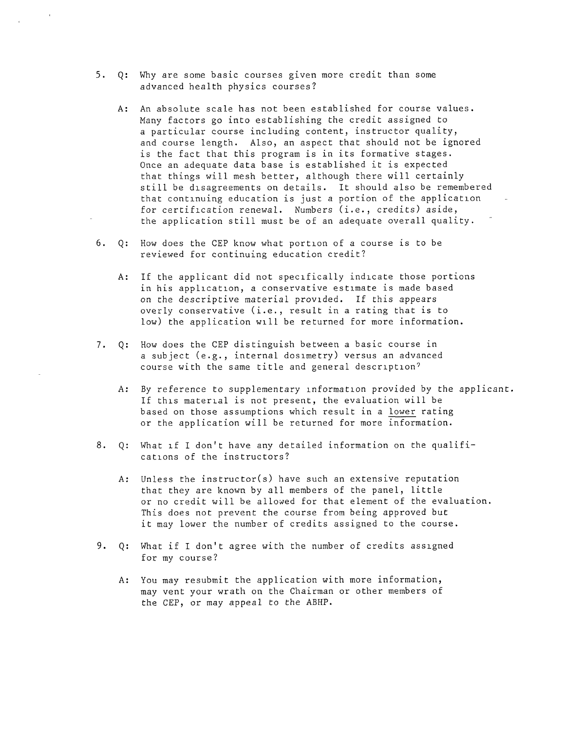- 5. Q: Why are some basic courses given more credit than some advanced health physics courses?
	- A: An absolute scale has not been established for course values. Many factors go into establishing the credit assigned to <sup>a</sup>particular course including content, instructor quality, and course length. Also, an aspect that should not be ignored is the fact that this program is in its formative stages. Once an adequate data base is established it is expected that things will mesh better, although there will certainly still be disagreements on details. It should also be remembered that continuing education is just a portion of the application for certification renewal. Numbers (i.e., credits) aside, the application still must be of an adequate overall quality.
- 6. Q: How does the CEP know what portion of a course is to be reviewed for continuing education credit?
	- A: If the applicant did not specifically indicate those portions in his application, a conservative estimate is made based on the descriptive material provided. If this appears overly conservative (i.e., result in a rating that is to low) the application will be returned for more information.
- 7. Q: How does the CEP distinguish between a basic course in <sup>a</sup>subject (e.g., internal dosimetry) versus an advanced course with the same title and general description?
	- A: By reference to supplementary information provided by the applicant. If this material is not present, the evaluation will be based on those assumptions which result in a lower rating or the application will be returned for more information.
- 8. Q: What if I don't have any detailed information on the qualifications of the instructors?
	- A: Unless the instructor(s) have such an extensive reputation that they are known by all members of the panel, little or no credit will be allowed for that element of the evaluation. This does not prevent the course from being approved but it may lower the number of credits assigned to the course.
- 9. Q: What if I don't agree with the number of credits assigned for my course?
	- A: You may resubmit the application with more information, may vent your wrath on the Chairman or other members of the CEP, or may appeal to the ABHP.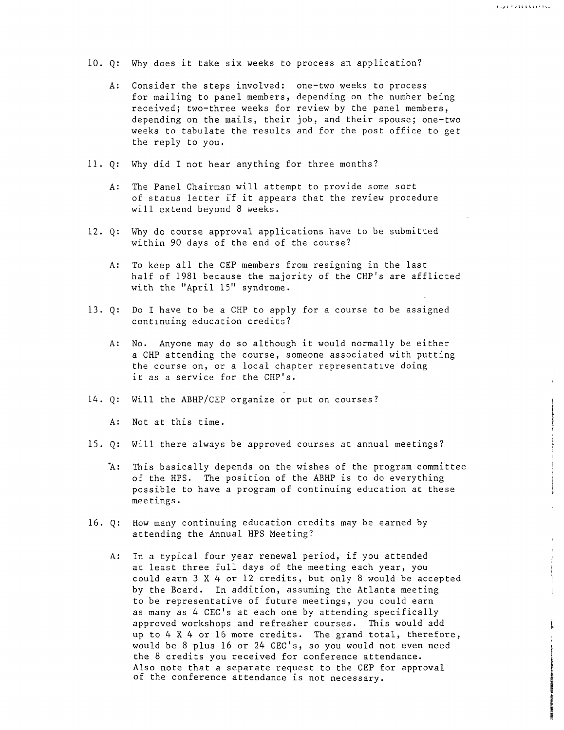10. Q: Why does it take six weeks to process an application?

- A: Consider the steps involved: one-two weeks to process for mailing to panel members, depending on the number being received; two-three weeks for review by the panel members, depending on the mails, their job, and their spouse; one-two weeks to tabulate the results and for the post office to get the reply to you.
- 11. Q: Why did I not hear anything for three months?
	- A: The Panel Chairman will attempt to provide some sort of status letter if it appears that the review procedure will extend beyond 8 weeks.
- 12. Q: Why do course approval applications have to be submitted within 90 days of the end of the course?
	- A: To keep all the CEP members from resigning in the last half of 1981 because the majority of the CHP's are afflicted with the "April 15" syndrome.
- 13. Q: Do I have to be a CHP to apply for a course to be assigned continuing education credits?
	- A: No. Anyone may do so although it would normally be either a CHP attending the course, someone associated with putting the course on, or a local chapter representative doing it as a service for the CHP's.
- 14. Q: Will the ABHP/CEP organize or put on courses?
	- A: Not at this time.
- 15. Q: Will there always be approved courses at annual meetings?
	- A: This basically depends on the wishes of the program committee of the HPS. The position of the ABHP is to do everything possible to have a program of continuing education at these meetings.
- 16. Q: How many continuing education credits may be earned by attending the Annual HPS Meeting?
	- A: In a typical four year renewal period, if you attended at least three full days of the meeting each year, you could earn 3 X 4 or 12 credits, but only 8 would be accepted by the Board. In addition, assuming the Atlanta meeting to be representative of future meetings, you could earn as many as 4 CEC's at each one by attending specifically approved workshops and refresher courses. This would add up to 4 X 4 or 16 more credits. The grand total, therefore, would be 8 plus 16 or 24 CEC's, so you would not even need the 8 credits you received for conference attendance. Also note that a separate request to the CEP for approval of the conference attendance is not necessary.

**ISSUED** 

 $\mathfrak{g}$ 

i qaratti bild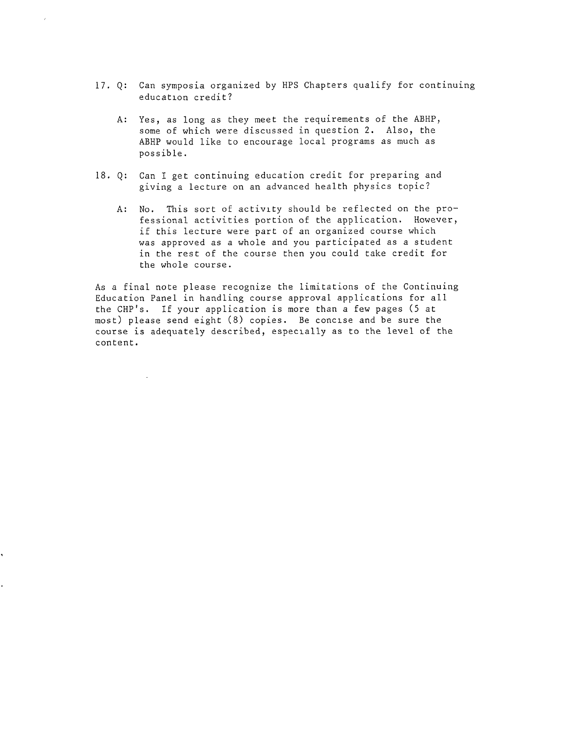- 17. Q: Can symposia organized by HPS Chapters qualify for continuing education credit?
	- A: Yes, as long as they meet the requirements of the ABHP, some of which were discussed in question 2. Also, the ABHP would like to encourage local programs as much as possible.
- 18. Q: Can I get continuing education credit for preparing and giving a lecture on an advanced health physics topic?
	- A: No. This sort of activity should be reflected on the professional activities portion of the application. However, if this lecture were part of an organized course which was approved as a whole and you participated as a student in the rest of the course then you could take credit for the whole course.

As a final note please recognize the limitations of the Continuing Education Panel in handling course approval applications for all the CHP's. If your application is more than a few pages (5 at most) please send eight (8) copies. Be concise and be sure the course is adequately described, especially as to the level of the content.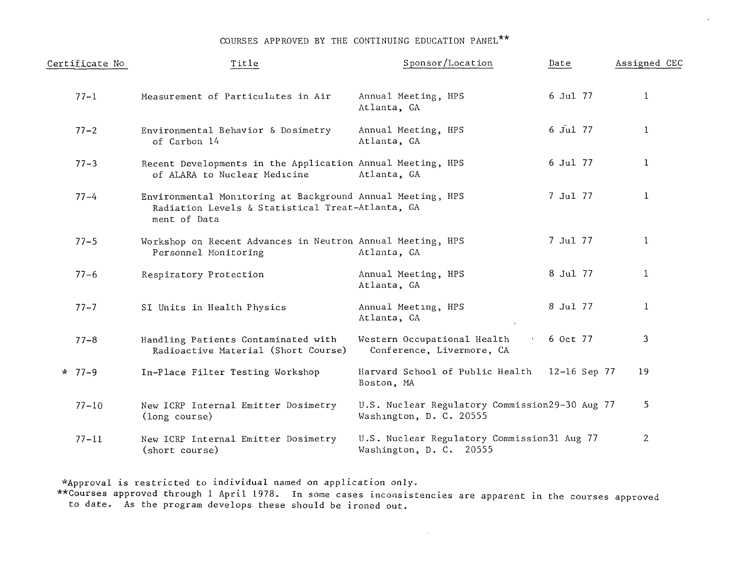# COURSES APPROVED BY THE CONTINUING EDUCATION PANEL\*\*

| Certificate No | Title                                                                                                                          | Sponsor/Location                                                          | Date                  | Assigned CEC   |
|----------------|--------------------------------------------------------------------------------------------------------------------------------|---------------------------------------------------------------------------|-----------------------|----------------|
| $77 - 1$       | Measurement of Particulates in Air                                                                                             | Annual Meeting, HPS<br>Atlanta, GA                                        | 6 Jul 77              | 1              |
| $77 - 2$       | Environmental Behavior & Dosimetry<br>of Carbon 14                                                                             | Annual Meeting, HPS<br>Atlanta, GA                                        | $6$ $\mathrm{Jul}$ 77 | $\mathbf{1}$   |
| $77 - 3$       | Recent Developments in the Application Annual Meeting, HPS<br>of ALARA to Nuclear Medicine                                     | Atlanta, GA                                                               | 6 Jul 77              | 1              |
| $77 - 4$       | Environmental Monitoring at Background Annual Meeting, HPS<br>Radiation Levels & Statistical Treat-Atlanta, GA<br>ment of Data |                                                                           | 7 Jul 77              | 1              |
| $77 - 5$       | Workshop on Recent Advances in Neutron Annual Meeting, HPS<br>Personnel Monitoring                                             | Atlanta, GA                                                               | 7 Jul 77              | 1              |
| $77 - 6$       | Respiratory Protection                                                                                                         | Annual Meeting, HPS<br>Atlanta, GA                                        | 8 Jul 77              | 1              |
| $77 - 7$       | SI Units in Health Physics                                                                                                     | Annual Meeting, HPS<br>Atlanta, GA                                        | 8 Jul 77              | 1              |
| $77 - 8$       | Handling Patients Contaminated with<br>Radioactive Material (Short Course)                                                     | Western Occupational Health<br>Conference, Livermore, CA                  | 6 Oct 77              | 3              |
| $* 77-9$       | In-Place Filter Testing Workshop                                                                                               | Harvard School of Public Health<br>Boston, MA                             | $12-16$ Sep 77        | 19             |
| $77 - 10$      | New ICRP Internal Emitter Dosimetry<br>(long course)                                                                           | U.S. Nuclear Regulatory Commission29-30 Aug 77<br>Washington, D. C. 20555 |                       | 5              |
| $77 - 11$      | New ICRP Internal Emitter Dosimetry<br>(short course)                                                                          | U.S. Nuclear Regulatory Commission31 Aug 77<br>Washington, D. C. 20555    |                       | $\overline{2}$ |

\*Approval is restricted to individual named on application only.

\*\*Courses approved through 1 April 1978. In some cases inconsistencies are apparent in the courses approved to date. As the program develops these should be ironed out.

 $\sim 10^{-1}$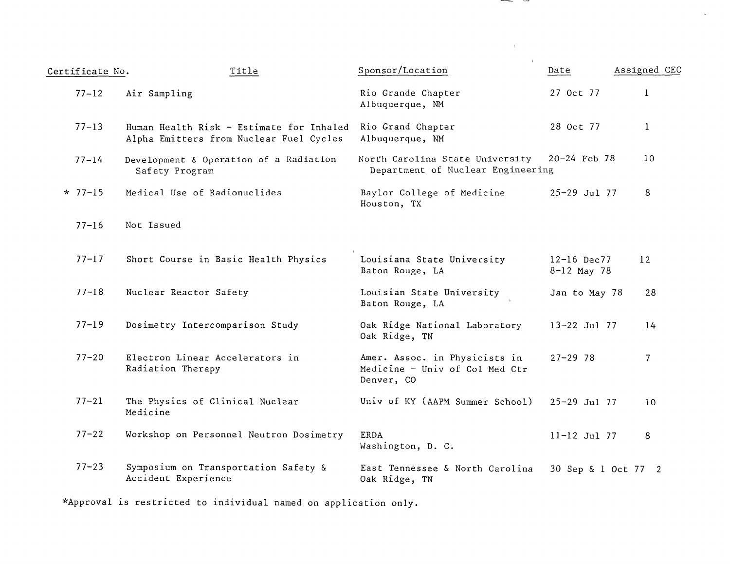| Certificate No. | Title                                                                               | Sponsor/Location                                                              | Date                         | Assigned CEC   |
|-----------------|-------------------------------------------------------------------------------------|-------------------------------------------------------------------------------|------------------------------|----------------|
| $77 - 12$       | Air Sampling                                                                        | Rio Grande Chapter<br>Albuquerque, NM                                         | 27 Oct 77                    | 1              |
| $77 - 13$       | Human Health Risk - Estimate for Inhaled<br>Alpha Emitters from Nuclear Fuel Cycles | Rio Grand Chapter<br>Albuquerque, NM                                          | 28 Oct 77                    | 1              |
| $77 - 14$       | Development & Operation of a Radiation<br>Safety Program                            | North Carolina State University<br>Department of Nuclear Engineering          | 20-24 Feb 78                 | 10             |
| $* 77 - 15$     | Medical Use of Radionuclides                                                        | Baylor College of Medicine<br>Houston, TX                                     | $25 - 29$ Jul 77             | 8              |
| $77 - 16$       | Not Issued                                                                          |                                                                               |                              |                |
| $77 - 17$       | Short Course in Basic Health Physics                                                | Louisiana State University<br>Baton Rouge, LA                                 | $12-16$ Dec77<br>8-12 May 78 | 12             |
| $77 - 18$       | Nuclear Reactor Safety                                                              | Louisian State University<br>Baton Rouge, LA                                  | Jan to May 78                | 28             |
| $77 - 19$       | Dosimetry Intercomparison Study                                                     | Oak Ridge National Laboratory<br>Oak Ridge, TN                                | 13-22 Jul 77                 | 14             |
| $77 - 20$       | Electron Linear Accelerators in<br>Radiation Therapy                                | Amer. Assoc. in Physicists in<br>Medicine - Univ of Col Med Ctr<br>Denver, CO | $27 - 29$ 78                 | $\overline{7}$ |
| $77 - 21$       | The Physics of Clinical Nuclear<br>Medicine                                         | Univ of KY (AAPM Summer School)                                               | $25 - 29$ Jul 77             | 10             |
| $77 - 22$       | Workshop on Personnel Neutron Dosimetry                                             | <b>ERDA</b><br>Washington, D. C.                                              | $11 - 12$ Jul 77             | 8              |
| $77 - 23$       | Symposium on Transportation Safety &<br>Accident Experience                         | East Tennessee & North Carolina<br>Oak Ridge, TN                              | 30 Sep & 1 Oct 77 2          |                |

and the contract of the contract of the contract of the contract of the contract of the contract of the contract of the contract of the contract of the contract of the contract of the contract of the contract of the contra

 $\label{eq:2.1} \mathbf{E}(\mathbf{r}) = \mathbf{E}(\mathbf{r}) + \mathbf{E}(\mathbf{r}) + \mathbf{E}(\mathbf{r})$ 

\*Approval is restricted to individual named on application only.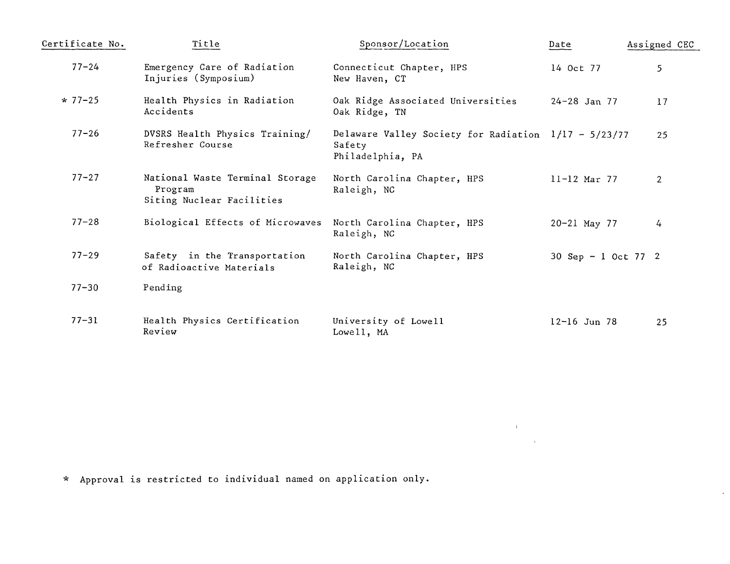| Certificate No. | Title                                                                   | Sponsor/Location                                                                     | Date                | Assigned CEC   |
|-----------------|-------------------------------------------------------------------------|--------------------------------------------------------------------------------------|---------------------|----------------|
| $77 - 24$       | Emergency Care of Radiation<br>Injuries (Symposium)                     | Connecticut Chapter, HPS<br>New Haven, CT                                            | 14 Oct 77           | 5              |
| $\star$ 77-25   | Health Physics in Radiation<br>Accidents                                | Oak Ridge Associated Universities<br>Oak Ridge, TN                                   | $24 - 28$ Jan 77    | 17             |
| $77 - 26$       | DVSRS Health Physics Training/<br>Refresher Course                      | Delaware Valley Society for Radiation $1/17 - 5/23/77$<br>Safety<br>Philadelphia, PA |                     | 25             |
| $77 - 27$       | National Waste Terminal Storage<br>Program<br>Siting Nuclear Facilities | North Carolina Chapter, HPS<br>Raleigh, NC                                           | $11-12$ Mar 77      | $\overline{2}$ |
| $77 - 28$       | Biological Effects of Microwaves                                        | North Carolina Chapter, HPS<br>Raleigh, NC                                           | $20 - 21$ May 77    | 4              |
| $77 - 29$       | Safety in the Transportation<br>of Radioactive Materials                | North Carolina Chapter, HPS<br>Raleigh, NC                                           | 30 Sep - 1 Oct 77 2 |                |
| $77 - 30$       | Pending                                                                 |                                                                                      |                     |                |
| $77 - 31$       | Health Physics Certification<br>Review                                  | University of Lowell<br>Lowell, MA                                                   | $12-16$ Jun 78      | 25             |

 $\label{eq:2.1} \begin{split} \mathbf{A} &= \mathbf{A} + \mathbf{A} \mathbf{A} + \mathbf{A} \mathbf{A} + \mathbf{A} \mathbf{A} + \mathbf{A} \mathbf{A} + \mathbf{A} \mathbf{A} + \mathbf{A} \mathbf{A} + \mathbf{A} \mathbf{A} + \mathbf{A} \mathbf{A} + \mathbf{A} \mathbf{A} + \mathbf{A} \mathbf{A} + \mathbf{A} \mathbf{A} + \mathbf{A} \mathbf{A} + \mathbf{A} \mathbf{A} + \mathbf{A} \mathbf{A} + \mathbf{A} \mathbf{$ 

 $\sim$ 

\* Approval is restricted to individual named on application only.